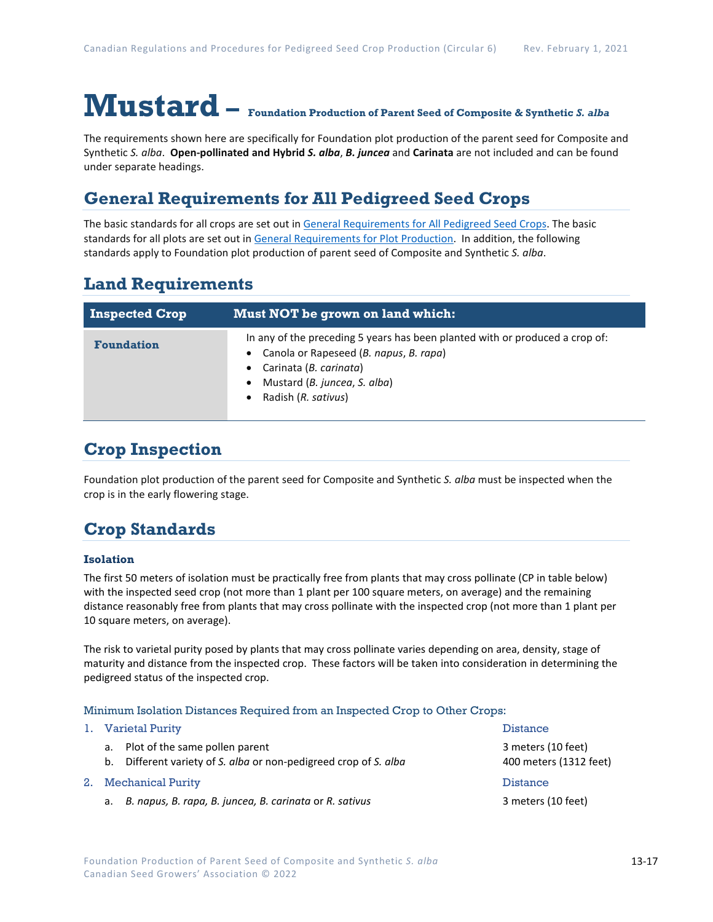# **Mustard – Foundation Production of Parent Seed of Composite & Synthetic** *S. alba*

The requirements shown here are specifically for Foundation plot production of the parent seed for Composite and Synthetic *S. alba*. **Open-pollinated and Hybrid** *S. alba*, *B. juncea* and **Carinata** are not included and can be found under separate headings.

## **General Requirements for All Pedigreed Seed Crops**

The basic standards for all crops are set out i[n General Requirements for All Pedigreed Seed](https://seedgrowers.ca/wp-content/uploads/2020/01/GENERAL-REQUIREMENTS-ALL-CROPS_EN.pdf) Crops. The basic standards for all plots are set out i[n General Requirements for Plot Production.](https://seedgrowers.ca/wp-content/uploads/2020/01/GENERAL-REQUIREMENTS-PLOTS_EN.pdf) In addition, the following standards apply to Foundation plot production of parent seed of Composite and Synthetic *S. alba*.

## **Land Requirements**

| <b>Inspected Crop</b> | <b>Must NOT be grown on land which:</b>                                                                                                                                                                 |
|-----------------------|---------------------------------------------------------------------------------------------------------------------------------------------------------------------------------------------------------|
| <b>Foundation</b>     | In any of the preceding 5 years has been planted with or produced a crop of:<br>Canola or Rapeseed (B. napus, B. rapa)<br>Carinata (B. carinata)<br>Mustard (B. juncea, S. alba)<br>Radish (R. sativus) |

## **Crop Inspection**

Foundation plot production of the parent seed for Composite and Synthetic *S. alba* must be inspected when the crop is in the early flowering stage.

## **Crop Standards**

#### **Isolation**

The first 50 meters of isolation must be practically free from plants that may cross pollinate (CP in table below) with the inspected seed crop (not more than 1 plant per 100 square meters, on average) and the remaining distance reasonably free from plants that may cross pollinate with the inspected crop (not more than 1 plant per 10 square meters, on average).

The risk to varietal purity posed by plants that may cross pollinate varies depending on area, density, stage of maturity and distance from the inspected crop. These factors will be taken into consideration in determining the pedigreed status of the inspected crop.

#### Minimum Isolation Distances Required from an Inspected Crop to Other Crops:

|    |    | 1. Varietal Purity                                                                                 | <b>Distance</b>                              |  |
|----|----|----------------------------------------------------------------------------------------------------|----------------------------------------------|--|
|    | b. | a. Plot of the same pollen parent<br>Different variety of S. alba or non-pedigreed crop of S. alba | 3 meters (10 feet)<br>400 meters (1312 feet) |  |
| 2. |    | <b>Mechanical Purity</b>                                                                           | <b>Distance</b>                              |  |
|    |    | a. B. napus, B. rapa, B. juncea, B. carinata or R. sativus                                         | 3 meters (10 feet)                           |  |